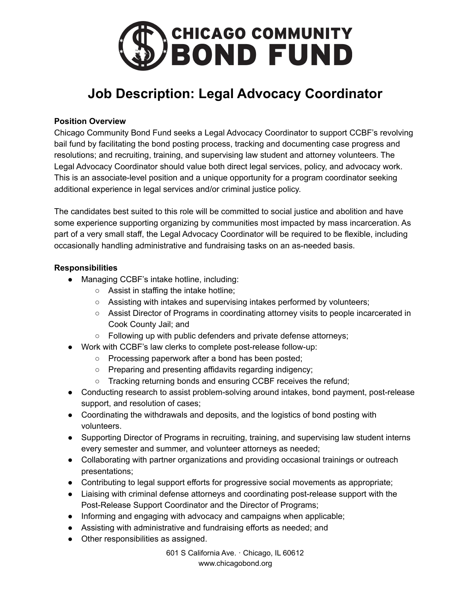

# **Job Description: Legal Advocacy Coordinator**

# **Position Overview**

Chicago Community Bond Fund seeks a Legal Advocacy Coordinator to support CCBF's revolving bail fund by facilitating the bond posting process, tracking and documenting case progress and resolutions; and recruiting, training, and supervising law student and attorney volunteers. The Legal Advocacy Coordinator should value both direct legal services, policy, and advocacy work. This is an associate-level position and a unique opportunity for a program coordinator seeking additional experience in legal services and/or criminal justice policy.

The candidates best suited to this role will be committed to social justice and abolition and have some experience supporting organizing by communities most impacted by mass incarceration. As part of a very small staff, the Legal Advocacy Coordinator will be required to be flexible, including occasionally handling administrative and fundraising tasks on an as-needed basis.

# **Responsibilities**

- Managing CCBF's intake hotline, including:
	- Assist in staffing the intake hotline;
	- Assisting with intakes and supervising intakes performed by volunteers;
	- Assist Director of Programs in coordinating attorney visits to people incarcerated in Cook County Jail; and
	- Following up with public defenders and private defense attorneys;
- Work with CCBF's law clerks to complete post-release follow-up:
	- Processing paperwork after a bond has been posted;
	- Preparing and presenting affidavits regarding indigency;
	- Tracking returning bonds and ensuring CCBF receives the refund;
- Conducting research to assist problem-solving around intakes, bond payment, post-release support, and resolution of cases;
- Coordinating the withdrawals and deposits, and the logistics of bond posting with volunteers.
- Supporting Director of Programs in recruiting, training, and supervising law student interns every semester and summer, and volunteer attorneys as needed;
- Collaborating with partner organizations and providing occasional trainings or outreach presentations;
- Contributing to legal support efforts for progressive social movements as appropriate;
- Liaising with criminal defense attorneys and coordinating post-release support with the Post-Release Support Coordinator and the Director of Programs;
- Informing and engaging with advocacy and campaigns when applicable;
- Assisting with administrative and fundraising efforts as needed; and
- Other responsibilities as assigned.

601 S California Ave. · Chicago, IL 60612 www.chicagobond.org